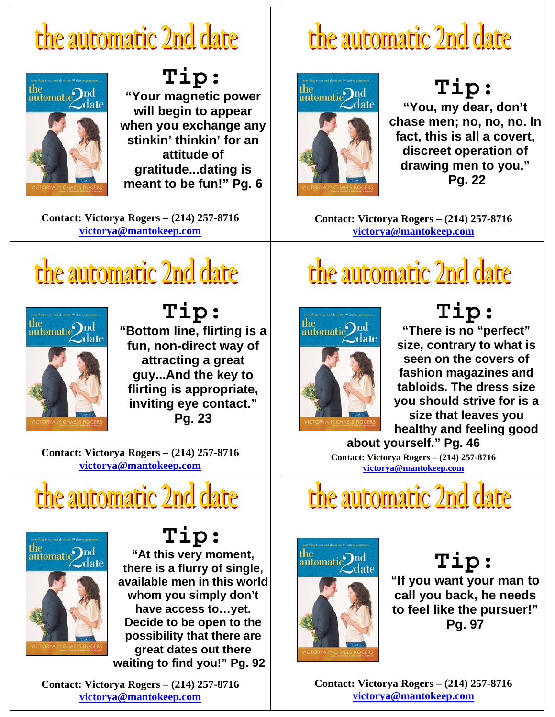

**Tip: "Your magnetic power will begin to appear when you exchange any stinkin' thinkin' for an attitude of gratitude...dating is meant to be fun!" Pg. 6**

**Contact: Victorya Rogers – (214) 257-8716 victorya@mantokeep.com**

# the automatic 2nd date



**Tip: "Bottom line, flirting is a fun, non-direct way of attracting a great guy...And the key to flirting is appropriate, inviting eye contact." Pg. 23** 

**Contact: Victorya Rogers – (214) 257-8716 victorya@mantokeep.com**

### the automatic 2nd date



**Tip: "At this very moment, there is a flurry of single, available men in this world whom you simply don't have access to…yet. Decide to be open to the possibility that there are great dates out there waiting to find you!" Pg. 92**

**Contact: Victorya Rogers – (214) 257-8716 victorya@mantokeep.com**

# the automatic 2nd date



**Tip: "You, my dear, don't chase men; no, no, no. In fact, this is all a covert, discreet operation of drawing men to you." Pg. 22** 

**Contact: Victorya Rogers – (214) 257-8716 victorya@mantokeep.com**

# the automatic 2nd date



**Tip: "There is no "perfect" size, contrary to what is seen on the covers of fashion magazines and tabloids. The dress size you should strive for is a size that leaves you healthy and feeling good** 

**about yourself." Pg. 46 Contact: Victorya Rogers – (214) 257-8716 victorya@mantokeep.com**

the automatic 2nd date



#### **Tip:**

**"If you want your man to call you back, he needs to feel like the pursuer!" Pg. 97**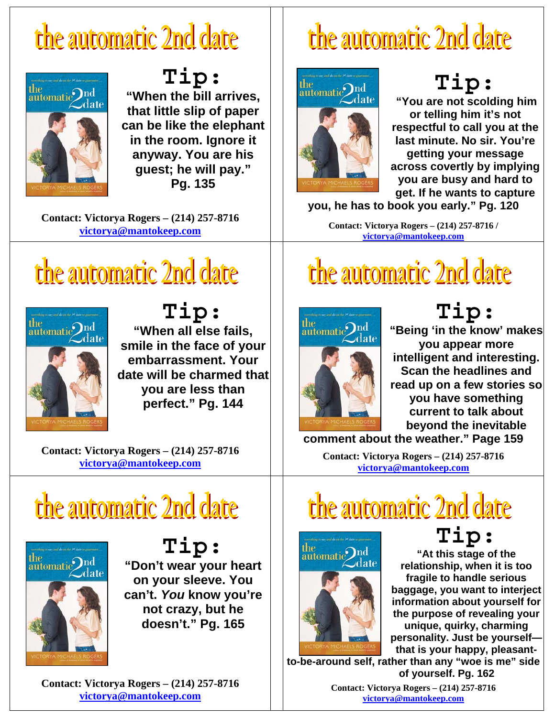

**Tip: "When the bill arrives, that little slip of paper can be like the elephant in the room. Ignore it anyway. You are his guest; he will pay." Pg. 135** 

**Contact: Victorya Rogers – (214) 257-8716 victorya@mantokeep.com**

# the automatic 2nd date



**Tip: "When all else fails, smile in the face of your embarrassment. Your date will be charmed that you are less than perfect." Pg. 144** 

**Contact: Victorya Rogers – (214) 257-8716 victorya@mantokeep.com**

# the automatic 2nd date



**Tip: "Don't wear your heart on your sleeve. You can't.** *You* **know you're not crazy, but he doesn't." Pg. 165** 

the

 $\sum_{n=1}^{\text{the}}$ 

 $\mathcal{L}_{\text{date}}$ 

**Tip:**

**"You are not scolding him or telling him it's not respectful to call you at the last minute. No sir. You're getting your message across covertly by implying you are busy and hard to get. If he wants to capture** 

**you, he has to book you early." Pg. 120** 

the automatic 2nd date

**Contact: Victorya Rogers – (214) 257-8716 / victorya@mantokeep.com**

# the automatic 2nd date



**Tip:**

**"Being 'in the know' makes you appear more intelligent and interesting. Scan the headlines and read up on a few stories so you have something current to talk about beyond the inevitable** 

**comment about the weather." Page 159** 

**Contact: Victorya Rogers – (214) 257-8716 victorya@mantokeep.com**

# the automatic 2nd date



**Tip: "At this stage of the relationship, when it is too fragile to handle serious baggage, you want to interject information about yourself for the purpose of revealing your unique, quirky, charming personality. Just be yourself that is your happy, pleasant-**

**to-be-around self, rather than any "woe is me" side of yourself. Pg. 162** 

> **Contact: Victorya Rogers – (214) 257-8716 victorya@mantokeep.com**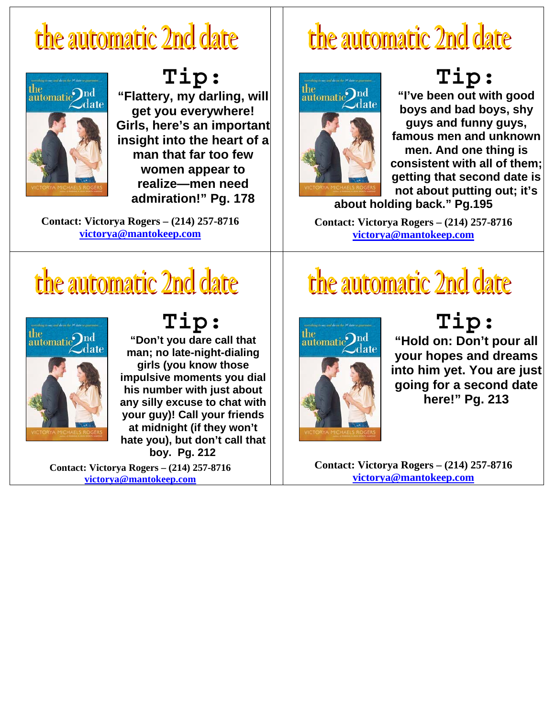

**Tip: "Flattery, my darling, will get you everywhere! Girls, here's an important insight into the heart of a man that far too few women appear to realize—men need admiration!" Pg. 178** 

**Contact: Victorya Rogers – (214) 257-8716 victorya@mantokeep.com**

## the automatic 2nd date



#### **Tip:**

**"I've been out with good boys and bad boys, shy guys and funny guys, famous men and unknown men. And one thing is consistent with all of them; getting that second date is not about putting out; it's** 

**about holding back." Pg.195** 

**Contact: Victorya Rogers – (214) 257-8716 victorya@mantokeep.com**

## the automatic 2nd date



**Tip: "Don't you dare call that man; no late-night-dialing girls (you know those impulsive moments you dial his number with just about any silly excuse to chat with your guy)! Call your friends at midnight (if they won't hate you), but don't call that boy. Pg. 212** 

**Contact: Victorya Rogers – (214) 257-8716 victorya@mantokeep.com**

### the automatic 2nd date



**Tip:**

**"Hold on: Don't pour all your hopes and dreams into him yet. You are just going for a second date here!" Pg. 213**